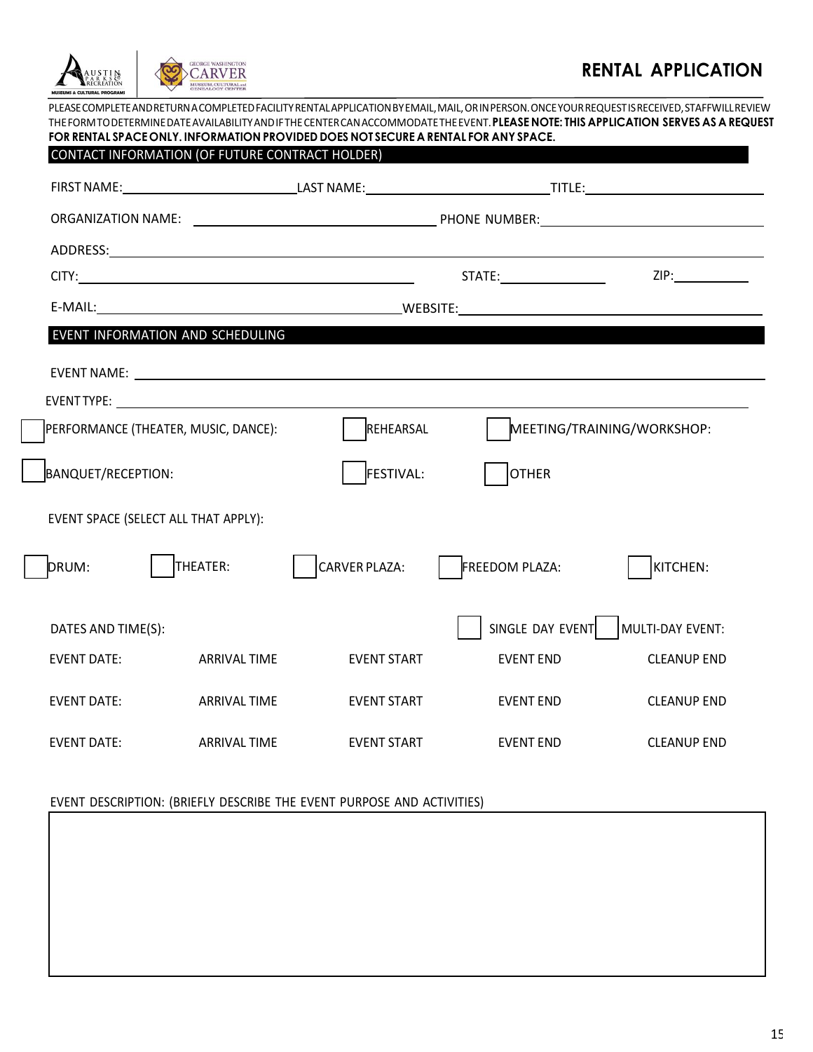| CONTACT INFORMATION (OF FUTURE CONTRACT HOLDER) |                     |                                                                                                                                                                                                                               |                  |                            |  |
|-------------------------------------------------|---------------------|-------------------------------------------------------------------------------------------------------------------------------------------------------------------------------------------------------------------------------|------------------|----------------------------|--|
|                                                 |                     |                                                                                                                                                                                                                               |                  |                            |  |
|                                                 |                     |                                                                                                                                                                                                                               |                  |                            |  |
|                                                 |                     |                                                                                                                                                                                                                               |                  |                            |  |
|                                                 |                     |                                                                                                                                                                                                                               | ZIP:             |                            |  |
|                                                 |                     |                                                                                                                                                                                                                               |                  |                            |  |
| EVENT INFORMATION AND SCHEDULING                |                     |                                                                                                                                                                                                                               |                  |                            |  |
|                                                 |                     | EVENT NAME: University of the contract of the contract of the contract of the contract of the contract of the contract of the contract of the contract of the contract of the contract of the contract of the contract of the |                  |                            |  |
|                                                 |                     |                                                                                                                                                                                                                               |                  |                            |  |
| PERFORMANCE (THEATER, MUSIC, DANCE):            |                     | REHEARSAL                                                                                                                                                                                                                     |                  | MEETING/TRAINING/WORKSHOP: |  |
| BANQUET/RECEPTION:                              |                     | <b>FESTIVAL:</b>                                                                                                                                                                                                              | <b>OTHER</b>     |                            |  |
| EVENT SPACE (SELECT ALL THAT APPLY):            |                     |                                                                                                                                                                                                                               |                  |                            |  |
| DRUM:                                           | THEATER:            | <b>CARVER PLAZA:</b>                                                                                                                                                                                                          | FREEDOM PLAZA:   | KITCHEN:                   |  |
| DATES AND TIME(S):                              |                     |                                                                                                                                                                                                                               | SINGLE DAY EVENT | MULTI-DAY EVENT:           |  |
| <b>EVENT DATE:</b>                              | <b>ARRIVAL TIME</b> | <b>EVENT START</b>                                                                                                                                                                                                            | <b>EVENT END</b> | <b>CLEANUP END</b>         |  |
| <b>EVENT DATE:</b>                              | <b>ARRIVAL TIME</b> | <b>EVENT START</b>                                                                                                                                                                                                            | <b>EVENT END</b> | <b>CLEANUP END</b>         |  |
| <b>EVENT DATE:</b>                              | <b>ARRIVAL TIME</b> | <b>EVENT START</b>                                                                                                                                                                                                            | <b>EVENT END</b> | <b>CLEANUP END</b>         |  |

## EVENT DESCRIPTION: (BRIEFLY DESCRIBE THE EVENT PURPOSE AND ACTIVITIES)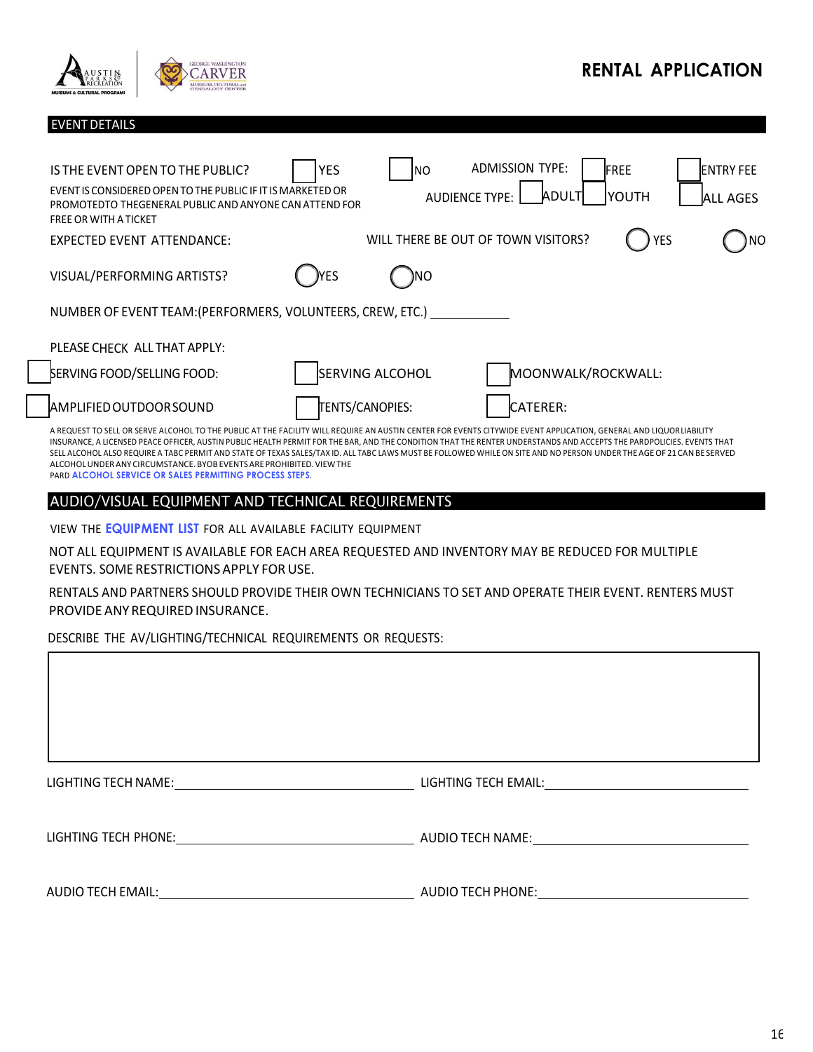

EVENTDETAILS

## **RENTAL APPLICATION**

| IS THE EVENT OPEN TO THE PUBLIC?                                                                                                                                                                                                                                                                                                                                                                                                                                                                                                                                                                                                                               | <b>YES</b> | Ino                    | <b>ADMISSION TYPE:</b>              | FREE                         |            | <b>ENTRY FEE</b> |
|----------------------------------------------------------------------------------------------------------------------------------------------------------------------------------------------------------------------------------------------------------------------------------------------------------------------------------------------------------------------------------------------------------------------------------------------------------------------------------------------------------------------------------------------------------------------------------------------------------------------------------------------------------------|------------|------------------------|-------------------------------------|------------------------------|------------|------------------|
| EVENT IS CONSIDERED OPEN TO THE PUBLIC IF IT IS MARKETED OR<br>PROMOTEDTO THEGENERAL PUBLIC AND ANYONE CAN ATTEND FOR<br><b>FREE OR WITH A TICKET</b>                                                                                                                                                                                                                                                                                                                                                                                                                                                                                                          |            |                        | <b>AUDIENCE TYPE:</b>               | <b>ADULT</b><br><b>YOUTH</b> |            | <b>ALL AGES</b>  |
| EXPECTED EVENT ATTENDANCE:                                                                                                                                                                                                                                                                                                                                                                                                                                                                                                                                                                                                                                     |            |                        | WILL THERE BE OUT OF TOWN VISITORS? |                              | <b>YES</b> | ΝO               |
| VISUAL/PERFORMING ARTISTS?                                                                                                                                                                                                                                                                                                                                                                                                                                                                                                                                                                                                                                     | )YES       | )NO                    |                                     |                              |            |                  |
| NUMBER OF EVENT TEAM: (PERFORMERS, VOLUNTEERS, CREW, ETC.)                                                                                                                                                                                                                                                                                                                                                                                                                                                                                                                                                                                                     |            |                        |                                     |                              |            |                  |
| PLEASE CHECK ALL THAT APPLY:                                                                                                                                                                                                                                                                                                                                                                                                                                                                                                                                                                                                                                   |            |                        |                                     |                              |            |                  |
| <b>SERVING FOOD/SELLING FOOD:</b>                                                                                                                                                                                                                                                                                                                                                                                                                                                                                                                                                                                                                              |            | <b>SERVING ALCOHOL</b> |                                     | MOONWALK/ROCKWALL:           |            |                  |
| <b>AMPLIFIED OUTDOOR SOUND</b>                                                                                                                                                                                                                                                                                                                                                                                                                                                                                                                                                                                                                                 |            | TENTS/CANOPIES:        | CATERER:                            |                              |            |                  |
| A REQUEST TO SELL OR SERVE ALCOHOL TO THE PUBLIC AT THE FACILITY WILL REQUIRE AN AUSTIN CENTER FOR EVENTS CITYWIDE EVENT APPLICATION, GENERAL AND LIQUOR LIABILITY<br>INSURANCE, A LICENSED PEACE OFFICER, AUSTIN PUBLIC HEALTH PERMIT FOR THE BAR, AND THE CONDITION THAT THE RENTER UNDERSTANDS AND ACCEPTS THE PARDPOLICIES. EVENTS THAT<br>SELL ALCOHOL ALSO REQUIRE A TABC PERMIT AND STATE OF TEXAS SALES/TAX ID. ALL TABC LAWS MUST BE FOLLOWED WHILE ON SITE AND NO PERSON UNDER THE AGE OF 21 CAN BE SERVED<br>ALCOHOL UNDER ANY CIRCUMSTANCE, BYOB EVENTS ARE PROHIBITED. VIEW THE<br><b>PARD ALCOHOL SERVICE OR SALES PERMITTING PROCESS STEPS.</b> |            |                        |                                     |                              |            |                  |

## AUDIO/VISUAL EQUIPMENT AND TECHNICAL REQUIREMENTS

VIEW THE **EQUIPMENT LIST** FOR ALL AVAILABLE FACILITY EQUIPMENT

NOT ALL EQUIPMENT IS AVAILABLE FOR EACH AREA REQUESTED AND INVENTORY MAY BE REDUCED FOR MULTIPLE EVENTS. SOME RESTRICTIONS APPLY FOR USE.

RENTALS AND PARTNERS SHOULD PROVIDE THEIR OWN TECHNICIANS TO SET AND OPERATE THEIR EVENT. RENTERS MUST PROVIDE ANY REQUIRED INSURANCE.

DESCRIBE THE AV/LIGHTING/TECHNICAL REQUIREMENTS OR REQUESTS:

| LIGHTING TECH NAME:<br><u> 1980 - Jan Barbara Barbara, manazarta </u> | LIGHTING TECH EMAIL: WAS ARRESTED FOR A STRING TO A STRING THE STRING OF THE STRING OF THE STRING OF THE STRING |
|-----------------------------------------------------------------------|-----------------------------------------------------------------------------------------------------------------|
| LIGHTING TECH PHONE:                                                  | AUDIO TECH NAME: AUDIO TECHNIC                                                                                  |
| <b>AUDIO TECH EMAIL:</b>                                              | <b>AUDIO TECH PHONE:</b>                                                                                        |